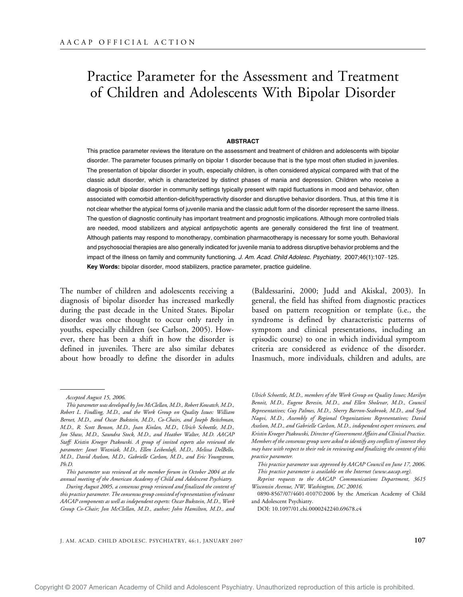# Practice Parameter for the Assessment and Treatment of Children and Adolescents With Bipolar Disorder

#### ABSTRACT

This practice parameter reviews the literature on the assessment and treatment of children and adolescents with bipolar disorder. The parameter focuses primarily on bipolar 1 disorder because that is the type most often studied in juveniles. The presentation of bipolar disorder in youth, especially children, is often considered atypical compared with that of the classic adult disorder, which is characterized by distinct phases of mania and depression. Children who receive a diagnosis of bipolar disorder in community settings typically present with rapid fluctuations in mood and behavior, often associated with comorbid attention-deficit/hyperactivity disorder and disruptive behavior disorders. Thus, at this time it is not clear whether the atypical forms of juvenile mania and the classic adult form of the disorder represent the same illness. The question of diagnostic continuity has important treatment and prognostic implications. Although more controlled trials are needed, mood stabilizers and atypical antipsychotic agents are generally considered the first line of treatment. Although patients may respond to monotherapy, combination pharmacotherapy is necessary for some youth. Behavioral and psychosocial therapies are also generally indicated for juvenile mania to address disruptive behavior problems and the impact of the illness on family and community functioning. J. Am. Acad. Child Adolesc. Psychiatry, 2007;46(1):107-125. Key Words: bipolar disorder, mood stabilizers, practice parameter, practice guideline.

The number of children and adolescents receiving a diagnosis of bipolar disorder has increased markedly during the past decade in the United States. Bipolar disorder was once thought to occur only rarely in youths, especially children (see Carlson, 2005). However, there has been a shift in how the disorder is defined in juveniles. There are also similar debates about how broadly to define the disorder in adults (Baldessarini, 2000; Judd and Akiskal, 2003). In general, the field has shifted from diagnostic practices based on pattern recognition or template (i.e., the syndrome is defined by characteristic patterns of symptom and clinical presentations, including an episodic course) to one in which individual symptom criteria are considered as evidence of the disorder. Inasmuch, more individuals, children and adults, are

Ulrich Schoettle, M.D., members of the Work Group on Quality Issues; Marilyn Benoit, M.D., Eugene Beresin, M.D., and Ellen Sholevar, M.D., Council Representatives; Guy Palmes, M.D., Sherry Barron-Seabrook, M.D., and Syed Naqvi, M.D., Assembly of Regional Organizations Representatives; David Axelson, M.D., and Gabrielle Carlson, M.D., independent expert reviewers, and Kristin Kroeger Ptakowski, Director of Government Affairs and Clinical Practice. Members of the consensus group were asked to identify any conflicts of interest they may have with respect to their role in reviewing and finalizing the content of this practice parameter.

This practice parameter was approved by AACAP Council on June 17, 2006. This practice parameter is available on the Internet (www.aacap.org).

Reprint requests to the AACAP Communications Department, 3615 Wisconsin Avenue, NW, Washington, DC 20016.

0890-8567/07/4601-0107©2006 by the American Academy of Child and Adolescent Psychiatry.

DOI: 10.1097/01.chi.0000242240.69678.c4

J. AM. ACAD. CHILD ADOLESC. PSYCHIATRY, 46:1, JANUARY 2007 107

Accepted August 15, 2006.

This parameter was developed by Jon McClellan, M.D., Robert Kowatch, M.D., Robert L. Findling, M.D., and the Work Group on Quality Issues: William Bernet, M.D., and Oscar Bukstein, M.D., Co-Chairs, and Joseph Beitchman, M.D., R. Scott Benson, M.D., Joan Kinlan, M.D., Ulrich Schoettle, M.D., Jon Shaw, M.D., Saundra Stock, M.D., and Heather Walter, M.D. AACAP Staff: Kristin Kroeger Ptakowski. A group of invited experts also reviewed the parameter: Janet Wozniak, M.D., Ellen Leibenluft, M.D., Melissa DelBello, M.D., David Axelson, M.D., Gabrielle Carlson, M.D., and Eric Youngstrom, Ph.D.

This parameter was reviewed at the member forum in October 2004 at the annual meeting of the American Academy of Child and Adolescent Psychiatry.

During August 2005, a consensus group reviewed and finalized the content of this practice parameter. The consensus group consisted of representatives of relevant AACAP components as well as independent experts: Oscar Bukstein, M.D., Work Group Co-Chair; Jon McClellan, M.D., author; John Hamilton, M.D., and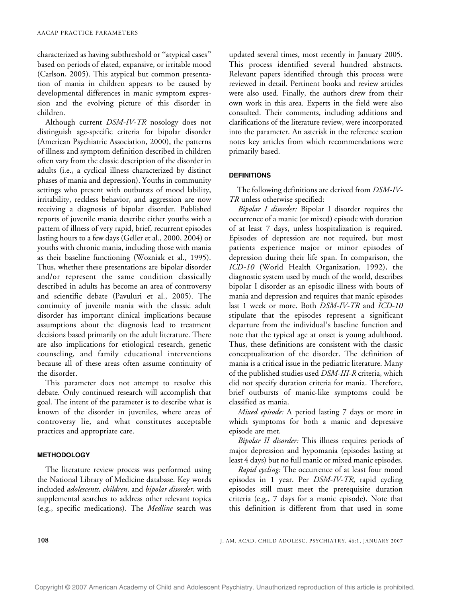characterized as having subthreshold or "atypical cases" based on periods of elated, expansive, or irritable mood (Carlson, 2005). This atypical but common presentation of mania in children appears to be caused by developmental differences in manic symptom expression and the evolving picture of this disorder in children.

Although current DSM-IV-TR nosology does not distinguish age-specific criteria for bipolar disorder (American Psychiatric Association, 2000), the patterns of illness and symptom definition described in children often vary from the classic description of the disorder in adults (i.e., a cyclical illness characterized by distinct phases of mania and depression). Youths in community settings who present with outbursts of mood lability, irritability, reckless behavior, and aggression are now receiving a diagnosis of bipolar disorder. Published reports of juvenile mania describe either youths with a pattern of illness of very rapid, brief, recurrent episodes lasting hours to a few days (Geller et al., 2000, 2004) or youths with chronic mania, including those with mania as their baseline functioning (Wozniak et al., 1995). Thus, whether these presentations are bipolar disorder and/or represent the same condition classically described in adults has become an area of controversy and scientific debate (Pavuluri et al., 2005). The continuity of juvenile mania with the classic adult disorder has important clinical implications because assumptions about the diagnosis lead to treatment decisions based primarily on the adult literature. There are also implications for etiological research, genetic counseling, and family educational interventions because all of these areas often assume continuity of the disorder.

This parameter does not attempt to resolve this debate. Only continued research will accomplish that goal. The intent of the parameter is to describe what is known of the disorder in juveniles, where areas of controversy lie, and what constitutes acceptable practices and appropriate care.

# **METHODOLOGY**

The literature review process was performed using the National Library of Medicine database. Key words included adolescents, children, and bipolar disorder, with supplemental searches to address other relevant topics (e.g., specific medications). The Medline search was

updated several times, most recently in January 2005. This process identified several hundred abstracts. Relevant papers identified through this process were reviewed in detail. Pertinent books and review articles were also used. Finally, the authors drew from their own work in this area. Experts in the field were also consulted. Their comments, including additions and clarifications of the literature review, were incorporated into the parameter. An asterisk in the reference section notes key articles from which recommendations were primarily based.

# DEFINITIONS

The following definitions are derived from DSM-IV-TR unless otherwise specified:

Bipolar I disorder: Bipolar I disorder requires the occurrence of a manic (or mixed) episode with duration of at least 7 days, unless hospitalization is required. Episodes of depression are not required, but most patients experience major or minor episodes of depression during their life span. In comparison, the ICD-10 (World Health Organization, 1992), the diagnostic system used by much of the world, describes bipolar I disorder as an episodic illness with bouts of mania and depression and requires that manic episodes last 1 week or more. Both DSM-IV-TR and ICD-10 stipulate that the episodes represent a significant departure from the individual`s baseline function and note that the typical age at onset is young adulthood. Thus, these definitions are consistent with the classic conceptualization of the disorder. The definition of mania is a critical issue in the pediatric literature. Many of the published studies used DSM-III-R criteria, which did not specify duration criteria for mania. Therefore, brief outbursts of manic-like symptoms could be classified as mania.

Mixed episode: A period lasting 7 days or more in which symptoms for both a manic and depressive episode are met.

Bipolar II disorder: This illness requires periods of major depression and hypomania (episodes lasting at least 4 days) but no full manic or mixed manic episodes.

Rapid cycling: The occurrence of at least four mood episodes in 1 year. Per DSM-IV-TR, rapid cycling episodes still must meet the prerequisite duration criteria (e.g., 7 days for a manic episode). Note that this definition is different from that used in some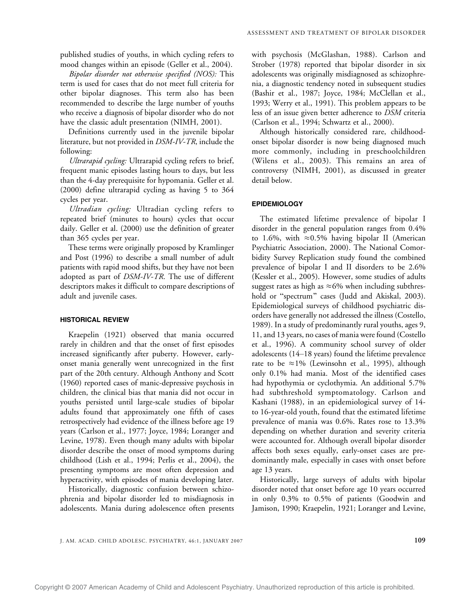published studies of youths, in which cycling refers to mood changes within an episode (Geller et al., 2004).

Bipolar disorder not otherwise specified (NOS): This term is used for cases that do not meet full criteria for other bipolar diagnoses. This term also has been recommended to describe the large number of youths who receive a diagnosis of bipolar disorder who do not have the classic adult presentation (NIMH, 2001).

Definitions currently used in the juvenile bipolar literature, but not provided in DSM-IV-TR, include the following:

Ultrarapid cycling: Ultrarapid cycling refers to brief, frequent manic episodes lasting hours to days, but less than the 4-day prerequisite for hypomania. Geller et al. (2000) define ultrarapid cycling as having 5 to 364 cycles per year.

Ultradian cycling: Ultradian cycling refers to repeated brief (minutes to hours) cycles that occur daily. Geller et al. (2000) use the definition of greater than 365 cycles per year.

These terms were originally proposed by Kramlinger and Post (1996) to describe a small number of adult patients with rapid mood shifts, but they have not been adopted as part of DSM-IV-TR. The use of different descriptors makes it difficult to compare descriptions of adult and juvenile cases.

#### HISTORICAL REVIEW

Kraepelin (1921) observed that mania occurred rarely in children and that the onset of first episodes increased significantly after puberty. However, earlyonset mania generally went unrecognized in the first part of the 20th century. Although Anthony and Scott (1960) reported cases of manic-depressive psychosis in children, the clinical bias that mania did not occur in youths persisted until large-scale studies of bipolar adults found that approximately one fifth of cases retrospectively had evidence of the illness before age 19 years (Carlson et al., 1977; Joyce, 1984; Loranger and Levine, 1978). Even though many adults with bipolar disorder describe the onset of mood symptoms during childhood (Lish et al., 1994; Perlis et al., 2004), the presenting symptoms are most often depression and hyperactivity, with episodes of mania developing later.

Historically, diagnostic confusion between schizophrenia and bipolar disorder led to misdiagnosis in adolescents. Mania during adolescence often presents with psychosis (McGlashan, 1988). Carlson and Strober (1978) reported that bipolar disorder in six adolescents was originally misdiagnosed as schizophrenia, a diagnostic tendency noted in subsequent studies (Bashir et al., 1987; Joyce, 1984; McClellan et al., 1993; Werry et al., 1991). This problem appears to be less of an issue given better adherence to DSM criteria (Carlson et al., 1994; Schwartz et al., 2000).

Although historically considered rare, childhoodonset bipolar disorder is now being diagnosed much more commonly, including in preschoolchildren (Wilens et al., 2003). This remains an area of controversy (NIMH, 2001), as discussed in greater detail below.

# **EPIDEMIOLOGY**

The estimated lifetime prevalence of bipolar I disorder in the general population ranges from 0.4% to 1.6%, with  $\approx 0.5\%$  having bipolar II (American Psychiatric Association, 2000). The National Comorbidity Survey Replication study found the combined prevalence of bipolar I and II disorders to be 2.6% (Kessler et al., 2005). However, some studies of adults suggest rates as high as  $\approx 6\%$  when including subthreshold or "spectrum" cases (Judd and Akiskal, 2003). Epidemiological surveys of childhood psychiatric disorders have generally not addressed the illness (Costello, 1989). In a study of predominantly rural youths, ages 9, 11, and 13 years, no cases of mania were found (Costello et al., 1996). A community school survey of older adolescents  $(14-18$  years) found the lifetime prevalence rate to be  $\approx$ 1% (Lewinsohn et al., 1995), although only 0.1% had mania. Most of the identified cases had hypothymia or cyclothymia. An additional 5.7% had subthreshold symptomatology. Carlson and Kashani (1988), in an epidemiological survey of 14 to 16-year-old youth, found that the estimated lifetime prevalence of mania was 0.6%. Rates rose to 13.3% depending on whether duration and severity criteria were accounted for. Although overall bipolar disorder affects both sexes equally, early-onset cases are predominantly male, especially in cases with onset before age 13 years.

Historically, large surveys of adults with bipolar disorder noted that onset before age 10 years occurred in only 0.3% to 0.5% of patients (Goodwin and Jamison, 1990; Kraepelin, 1921; Loranger and Levine,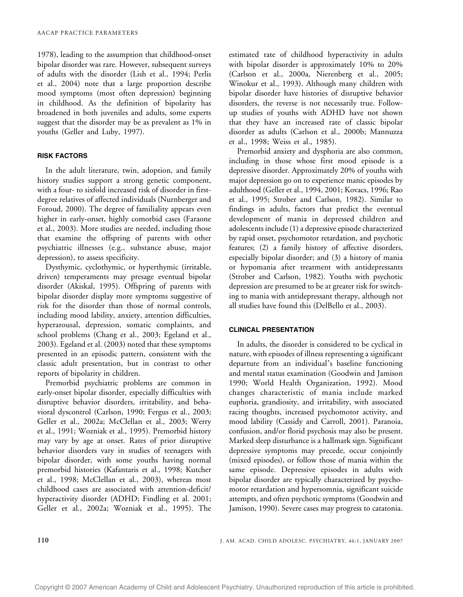1978), leading to the assumption that childhood-onset bipolar disorder was rare. However, subsequent surveys of adults with the disorder (Lish et al., 1994; Perlis et al., 2004) note that a large proportion describe mood symptoms (most often depression) beginning in childhood. As the definition of bipolarity has broadened in both juveniles and adults, some experts suggest that the disorder may be as prevalent as 1% in youths (Geller and Luby, 1997).

# RISK FACTORS

In the adult literature, twin, adoption, and family history studies support a strong genetic component, with a four- to sixfold increased risk of disorder in firstdegree relatives of affected individuals (Nurnberger and Foroud, 2000). The degree of familiality appears even higher in early-onset, highly comorbid cases (Faraone et al., 2003). More studies are needed, including those that examine the offspring of parents with other psychiatric illnesses (e.g., substance abuse, major depression), to assess specificity.

Dysthymic, cyclothymic, or hyperthymic (irritable, driven) temperaments may presage eventual bipolar disorder (Akiskal, 1995). Offspring of parents with bipolar disorder display more symptoms suggestive of risk for the disorder than those of normal controls, including mood lability, anxiety, attention difficulties, hyperarousal, depression, somatic complaints, and school problems (Chang et al., 2003; Egeland et al., 2003). Egeland et al. (2003) noted that these symptoms presented in an episodic pattern, consistent with the classic adult presentation, but in contrast to other reports of bipolarity in children.

Premorbid psychiatric problems are common in early-onset bipolar disorder, especially difficulties with disruptive behavior disorders, irritability, and behavioral dyscontrol (Carlson, 1990; Fergus et al., 2003; Geller et al., 2002a; McClellan et al., 2003; Werry et al., 1991; Wozniak et al., 1995). Premorbid history may vary by age at onset. Rates of prior disruptive behavior disorders vary in studies of teenagers with bipolar disorder, with some youths having normal premorbid histories (Kafantaris et al., 1998; Kutcher et al., 1998; McClellan et al., 2003), whereas most childhood cases are associated with attention-deficit/ hyperactivity disorder (ADHD; Findling et al. 2001; Geller et al., 2002a; Wozniak et al., 1995). The

estimated rate of childhood hyperactivity in adults with bipolar disorder is approximately 10% to 20% (Carlson et al., 2000a, Nierenberg et al., 2005; Winokur et al., 1993). Although many children with bipolar disorder have histories of disruptive behavior disorders, the reverse is not necessarily true. Followup studies of youths with ADHD have not shown that they have an increased rate of classic bipolar disorder as adults (Carlson et al., 2000b; Mannuzza et al., 1998; Weiss et al., 1985).

Premorbid anxiety and dysphoria are also common, including in those whose first mood episode is a depressive disorder. Approximately 20% of youths with major depression go on to experience manic episodes by adulthood (Geller et al., 1994, 2001; Kovacs, 1996; Rao et al., 1995; Strober and Carlson, 1982). Similar to findings in adults, factors that predict the eventual development of mania in depressed children and adolescents include (1) a depressive episode characterized by rapid onset, psychomotor retardation, and psychotic features; (2) a family history of affective disorders, especially bipolar disorder; and (3) a history of mania or hypomania after treatment with antidepressants (Strober and Carlson, 1982). Youths with psychotic depression are presumed to be at greater risk for switching to mania with antidepressant therapy, although not all studies have found this (DelBello et al., 2003).

# CLINICAL PRESENTATION

In adults, the disorder is considered to be cyclical in nature, with episodes of illness representing a significant departure from an individual`s baseline functioning and mental status examination (Goodwin and Jamison 1990; World Health Organization, 1992). Mood changes characteristic of mania include marked euphoria, grandiosity, and irritability, with associated racing thoughts, increased psychomotor activity, and mood lability (Cassidy and Carroll, 2001). Paranoia, confusion, and/or florid psychosis may also be present. Marked sleep disturbance is a hallmark sign. Significant depressive symptoms may precede, occur conjointly (mixed episodes), or follow those of mania within the same episode. Depressive episodes in adults with bipolar disorder are typically characterized by psychomotor retardation and hypersomnia, significant suicide attempts, and often psychotic symptoms (Goodwin and Jamison, 1990). Severe cases may progress to catatonia.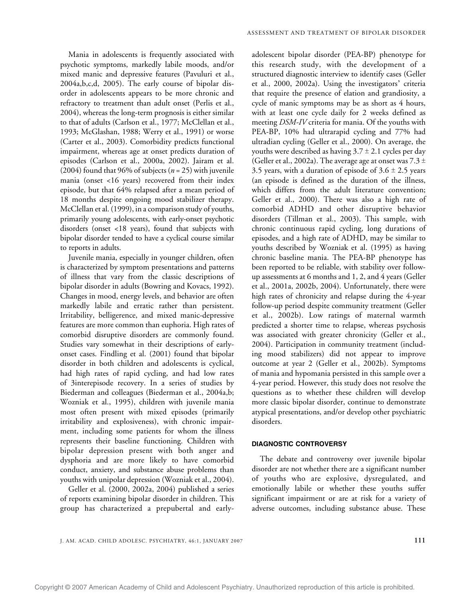Mania in adolescents is frequently associated with psychotic symptoms, markedly labile moods, and/or mixed manic and depressive features (Pavuluri et al., 2004a,b,c,d, 2005). The early course of bipolar disorder in adolescents appears to be more chronic and refractory to treatment than adult onset (Perlis et al., 2004), whereas the long-term prognosis is either similar to that of adults (Carlson et al., 1977; McClellan et al., 1993; McGlashan, 1988; Werry et al., 1991) or worse (Carter et al., 2003). Comorbidity predicts functional impairment, whereas age at onset predicts duration of episodes (Carlson et al., 2000a, 2002). Jairam et al. (2004) found that 96% of subjects ( $n = 25$ ) with juvenile mania (onset <16 years) recovered from their index episode, but that 64% relapsed after a mean period of 18 months despite ongoing mood stabilizer therapy. McClellan et al. (1999), in a comparison study of youths, primarily young adolescents, with early-onset psychotic disorders (onset <18 years), found that subjects with bipolar disorder tended to have a cyclical course similar to reports in adults.

Juvenile mania, especially in younger children, often is characterized by symptom presentations and patterns of illness that vary from the classic descriptions of bipolar disorder in adults (Bowring and Kovacs, 1992). Changes in mood, energy levels, and behavior are often markedly labile and erratic rather than persistent. Irritability, belligerence, and mixed manic-depressive features are more common than euphoria. High rates of comorbid disruptive disorders are commonly found. Studies vary somewhat in their descriptions of earlyonset cases. Findling et al. (2001) found that bipolar disorder in both children and adolescents is cyclical, had high rates of rapid cycling, and had low rates of 3interepisode recovery. In a series of studies by Biederman and colleagues (Biederman et al., 2004a,b; Wozniak et al., 1995), children with juvenile mania most often present with mixed episodes (primarily irritability and explosiveness), with chronic impairment, including some patients for whom the illness represents their baseline functioning. Children with bipolar depression present with both anger and dysphoria and are more likely to have comorbid conduct, anxiety, and substance abuse problems than youths with unipolar depression (Wozniak et al., 2004).

Geller et al. (2000, 2002a, 2004) published a series of reports examining bipolar disorder in children. This group has characterized a prepubertal and earlyadolescent bipolar disorder (PEA-BP) phenotype for this research study, with the development of a structured diagnostic interview to identify cases (Geller et al., 2000, 2002a). Using the investigators` criteria that require the presence of elation and grandiosity, a cycle of manic symptoms may be as short as 4 hours, with at least one cycle daily for 2 weeks defined as meeting DSM-IV criteria for mania. Of the youths with PEA-BP, 10% had ultrarapid cycling and 77% had ultradian cycling (Geller et al., 2000). On average, the youths were described as having  $3.7 \pm 2.1$  cycles per day (Geller et al., 2002a). The average age at onset was  $7.3 \pm$ 3.5 years, with a duration of episode of  $3.6 \pm 2.5$  years (an episode is defined as the duration of the illness, which differs from the adult literature convention; Geller et al., 2000). There was also a high rate of comorbid ADHD and other disruptive behavior disorders (Tillman et al., 2003). This sample, with chronic continuous rapid cycling, long durations of episodes, and a high rate of ADHD, may be similar to youths described by Wozniak et al. (1995) as having chronic baseline mania. The PEA-BP phenotype has been reported to be reliable, with stability over followup assessments at 6 months and 1, 2, and 4 years (Geller et al., 2001a, 2002b, 2004). Unfortunately, there were high rates of chronicity and relapse during the 4-year follow-up period despite community treatment (Geller et al., 2002b). Low ratings of maternal warmth predicted a shorter time to relapse, whereas psychosis was associated with greater chronicity (Geller et al., 2004). Participation in community treatment (including mood stabilizers) did not appear to improve outcome at year 2 (Geller et al., 2002b). Symptoms of mania and hypomania persisted in this sample over a 4-year period. However, this study does not resolve the questions as to whether these children will develop more classic bipolar disorder, continue to demonstrate atypical presentations, and/or develop other psychiatric disorders.

# DIAGNOSTIC CONTROVERSY

The debate and controversy over juvenile bipolar disorder are not whether there are a significant number of youths who are explosive, dysregulated, and emotionally labile or whether these youths suffer significant impairment or are at risk for a variety of adverse outcomes, including substance abuse. These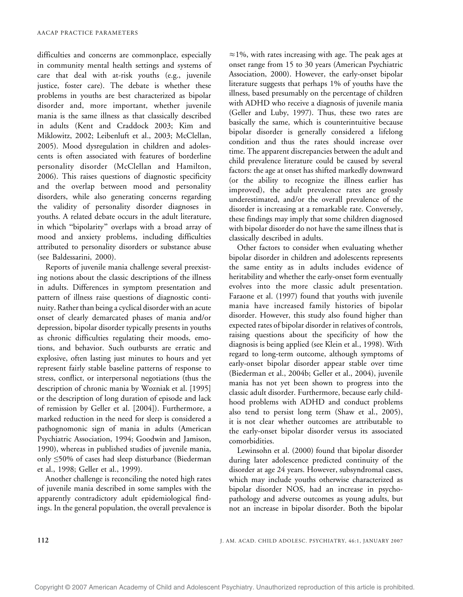difficulties and concerns are commonplace, especially in community mental health settings and systems of care that deal with at-risk youths (e.g., juvenile justice, foster care). The debate is whether these problems in youths are best characterized as bipolar disorder and, more important, whether juvenile mania is the same illness as that classically described in adults (Kent and Craddock 2003; Kim and Miklowitz, 2002; Leibenluft et al., 2003; McClellan, 2005). Mood dysregulation in children and adolescents is often associated with features of borderline personality disorder (McClellan and Hamilton, 2006). This raises questions of diagnostic specificity and the overlap between mood and personality disorders, while also generating concerns regarding the validity of personality disorder diagnoses in youths. A related debate occurs in the adult literature, in which "bipolarity" overlaps with a broad array of mood and anxiety problems, including difficulties attributed to personality disorders or substance abuse (see Baldessarini, 2000).

Reports of juvenile mania challenge several preexisting notions about the classic descriptions of the illness in adults. Differences in symptom presentation and pattern of illness raise questions of diagnostic continuity. Rather than being a cyclical disorder with an acute onset of clearly demarcated phases of mania and/or depression, bipolar disorder typically presents in youths as chronic difficulties regulating their moods, emotions, and behavior. Such outbursts are erratic and explosive, often lasting just minutes to hours and yet represent fairly stable baseline patterns of response to stress, conflict, or interpersonal negotiations (thus the description of chronic mania by Wozniak et al. [1995] or the description of long duration of episode and lack of remission by Geller et al. [2004]). Furthermore, a marked reduction in the need for sleep is considered a pathognomonic sign of mania in adults (American Psychiatric Association, 1994; Goodwin and Jamison, 1990), whereas in published studies of juvenile mania, only *e*50% of cases had sleep disturbance (Biederman et al., 1998; Geller et al., 1999).

Another challenge is reconciling the noted high rates of juvenile mania described in some samples with the apparently contradictory adult epidemiological findings. In the general population, the overall prevalence is  $\approx$  1%, with rates increasing with age. The peak ages at onset range from 15 to 30 years (American Psychiatric Association, 2000). However, the early-onset bipolar literature suggests that perhaps 1% of youths have the illness, based presumably on the percentage of children with ADHD who receive a diagnosis of juvenile mania (Geller and Luby, 1997). Thus, these two rates are basically the same, which is counterintuitive because bipolar disorder is generally considered a lifelong condition and thus the rates should increase over time. The apparent discrepancies between the adult and child prevalence literature could be caused by several factors: the age at onset has shifted markedly downward (or the ability to recognize the illness earlier has improved), the adult prevalence rates are grossly underestimated, and/or the overall prevalence of the disorder is increasing at a remarkable rate. Conversely, these findings may imply that some children diagnosed with bipolar disorder do not have the same illness that is classically described in adults.

Other factors to consider when evaluating whether bipolar disorder in children and adolescents represents the same entity as in adults includes evidence of heritability and whether the early-onset form eventually evolves into the more classic adult presentation. Faraone et al. (1997) found that youths with juvenile mania have increased family histories of bipolar disorder. However, this study also found higher than expected rates of bipolar disorder in relatives of controls, raising questions about the specificity of how the diagnosis is being applied (see Klein et al., 1998). With regard to long-term outcome, although symptoms of early-onset bipolar disorder appear stable over time (Biederman et al., 2004b; Geller et al., 2004), juvenile mania has not yet been shown to progress into the classic adult disorder. Furthermore, because early childhood problems with ADHD and conduct problems also tend to persist long term (Shaw et al., 2005), it is not clear whether outcomes are attributable to the early-onset bipolar disorder versus its associated comorbidities.

Lewinsohn et al. (2000) found that bipolar disorder during later adolescence predicted continuity of the disorder at age 24 years. However, subsyndromal cases, which may include youths otherwise characterized as bipolar disorder NOS, had an increase in psychopathology and adverse outcomes as young adults, but not an increase in bipolar disorder. Both the bipolar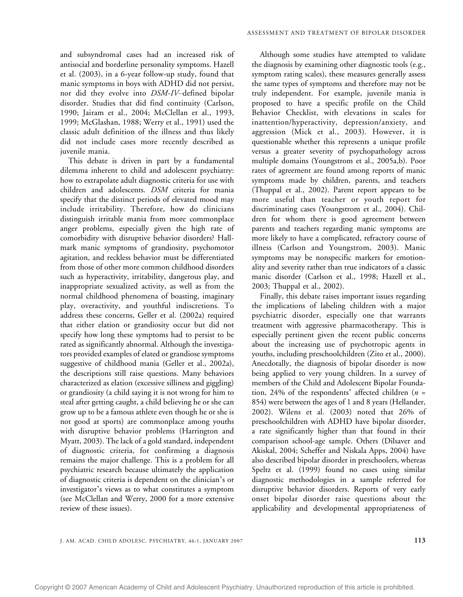and subsyndromal cases had an increased risk of antisocial and borderline personality symptoms. Hazell et al. (2003), in a 6-year follow-up study, found that manic symptoms in boys with ADHD did not persist, nor did they evolve into DSM-IV-defined bipolar disorder. Studies that did find continuity (Carlson, 1990; Jairam et al., 2004; McClellan et al., 1993, 1999; McGlashan, 1988; Werry et al., 1991) used the classic adult definition of the illness and thus likely did not include cases more recently described as juvenile mania.

This debate is driven in part by a fundamental dilemma inherent to child and adolescent psychiatry: how to extrapolate adult diagnostic criteria for use with children and adolescents. DSM criteria for mania specify that the distinct periods of elevated mood may include irritability. Therefore, how do clinicians distinguish irritable mania from more commonplace anger problems, especially given the high rate of comorbidity with disruptive behavior disorders? Hallmark manic symptoms of grandiosity, psychomotor agitation, and reckless behavior must be differentiated from those of other more common childhood disorders such as hyperactivity, irritability, dangerous play, and inappropriate sexualized activity, as well as from the normal childhood phenomena of boasting, imaginary play, overactivity, and youthful indiscretions. To address these concerns, Geller et al. (2002a) required that either elation or grandiosity occur but did not specify how long these symptoms had to persist to be rated as significantly abnormal. Although the investigators provided examples of elated or grandiose symptoms suggestive of childhood mania (Geller et al., 2002a), the descriptions still raise questions. Many behaviors characterized as elation (excessive silliness and giggling) or grandiosity (a child saying it is not wrong for him to steal after getting caught, a child believing he or she can grow up to be a famous athlete even though he or she is not good at sports) are commonplace among youths with disruptive behavior problems (Harrington and Myatt, 2003). The lack of a gold standard, independent of diagnostic criteria, for confirming a diagnosis remains the major challenge. This is a problem for all psychiatric research because ultimately the application of diagnostic criteria is dependent on the clinician`s or investigator`s views as to what constitutes a symptom (see McClellan and Werry, 2000 for a more extensive review of these issues).

Although some studies have attempted to validate the diagnosis by examining other diagnostic tools (e.g., symptom rating scales), these measures generally assess the same types of symptoms and therefore may not be truly independent. For example, juvenile mania is proposed to have a specific profile on the Child Behavior Checklist, with elevations in scales for inattention/hyperactivity, depression/anxiety, and aggression (Mick et al., 2003). However, it is questionable whether this represents a unique profile versus a greater severity of psychopathology across multiple domains (Youngstrom et al., 2005a,b). Poor rates of agreement are found among reports of manic symptoms made by children, parents, and teachers (Thuppal et al., 2002). Parent report appears to be more useful than teacher or youth report for discriminating cases (Youngstrom et al., 2004). Children for whom there is good agreement between parents and teachers regarding manic symptoms are more likely to have a complicated, refractory course of illness (Carlson and Youngstrom, 2003). Manic symptoms may be nonspecific markers for emotionality and severity rather than true indicators of a classic manic disorder (Carlson et al., 1998; Hazell et al., 2003; Thuppal et al., 2002).

Finally, this debate raises important issues regarding the implications of labeling children with a major psychiatric disorder, especially one that warrants treatment with aggressive pharmacotherapy. This is especially pertinent given the recent public concerns about the increasing use of psychotropic agents in youths, including preschoolchildren (Zito et al., 2000). Anecdotally, the diagnosis of bipolar disorder is now being applied to very young children. In a survey of members of the Child and Adolescent Bipolar Foundation, 24% of the respondents' affected children ( $n =$ 854) were between the ages of 1 and 8 years (Hellander, 2002). Wilens et al. (2003) noted that 26% of preschoolchildren with ADHD have bipolar disorder, a rate significantly higher than that found in their comparison school-age sample. Others (Dilsaver and Akiskal, 2004; Scheffer and Niskala Apps, 2004) have also described bipolar disorder in preschoolers, whereas Speltz et al. (1999) found no cases using similar diagnostic methodologies in a sample referred for disruptive behavior disorders. Reports of very early onset bipolar disorder raise questions about the applicability and developmental appropriateness of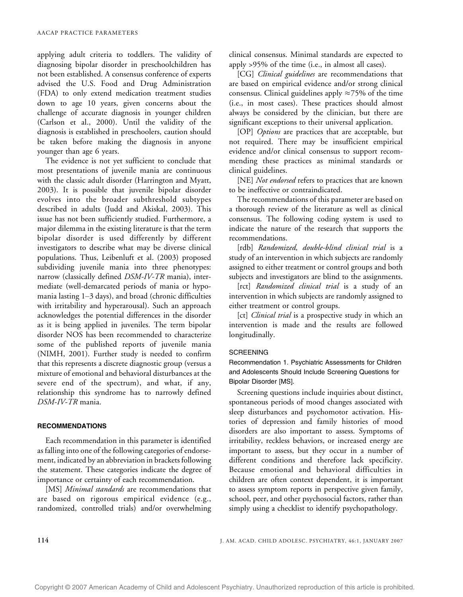applying adult criteria to toddlers. The validity of diagnosing bipolar disorder in preschoolchildren has not been established. A consensus conference of experts advised the U.S. Food and Drug Administration (FDA) to only extend medication treatment studies down to age 10 years, given concerns about the challenge of accurate diagnosis in younger children (Carlson et al., 2000). Until the validity of the diagnosis is established in preschoolers, caution should be taken before making the diagnosis in anyone younger than age 6 years.

The evidence is not yet sufficient to conclude that most presentations of juvenile mania are continuous with the classic adult disorder (Harrington and Myatt, 2003). It is possible that juvenile bipolar disorder evolves into the broader subthreshold subtypes described in adults (Judd and Akiskal, 2003). This issue has not been sufficiently studied. Furthermore, a major dilemma in the existing literature is that the term bipolar disorder is used differently by different investigators to describe what may be diverse clinical populations. Thus, Leibenluft et al. (2003) proposed subdividing juvenile mania into three phenotypes: narrow (classically defined DSM-IV-TR mania), intermediate (well-demarcated periods of mania or hypomania lasting  $1-3$  days), and broad (chronic difficulties with irritability and hyperarousal). Such an approach acknowledges the potential differences in the disorder as it is being applied in juveniles. The term bipolar disorder NOS has been recommended to characterize some of the published reports of juvenile mania (NIMH, 2001). Further study is needed to confirm that this represents a discrete diagnostic group (versus a mixture of emotional and behavioral disturbances at the severe end of the spectrum), and what, if any, relationship this syndrome has to narrowly defined DSM-IV-TR mania.

### RECOMMENDATIONS

Each recommendation in this parameter is identified as falling into one of the following categories of endorsement, indicated by an abbreviation in brackets following the statement. These categories indicate the degree of importance or certainty of each recommendation.

[MS] *Minimal standards* are recommendations that are based on rigorous empirical evidence (e.g., randomized, controlled trials) and/or overwhelming clinical consensus. Minimal standards are expected to apply >95% of the time (i.e., in almost all cases).

[CG] Clinical guidelines are recommendations that are based on empirical evidence and/or strong clinical consensus. Clinical guidelines apply  $\approx$ 75% of the time (i.e., in most cases). These practices should almost always be considered by the clinician, but there are significant exceptions to their universal application.

[OP] *Options* are practices that are acceptable, but not required. There may be insufficient empirical evidence and/or clinical consensus to support recommending these practices as minimal standards or clinical guidelines.

[NE] Not endorsed refers to practices that are known to be ineffective or contraindicated.

The recommendations of this parameter are based on a thorough review of the literature as well as clinical consensus. The following coding system is used to indicate the nature of the research that supports the recommendations.

[rdb] Randomized, double-blind clinical trial is a study of an intervention in which subjects are randomly assigned to either treatment or control groups and both subjects and investigators are blind to the assignments.

[rct] Randomized clinical trial is a study of an intervention in which subjects are randomly assigned to either treatment or control groups.

[ct] *Clinical trial* is a prospective study in which an intervention is made and the results are followed longitudinally.

#### **SCREENING**

Recommendation 1. Psychiatric Assessments for Children and Adolescents Should Include Screening Questions for Bipolar Disorder [MS].

Screening questions include inquiries about distinct, spontaneous periods of mood changes associated with sleep disturbances and psychomotor activation. Histories of depression and family histories of mood disorders are also important to assess. Symptoms of irritability, reckless behaviors, or increased energy are important to assess, but they occur in a number of different conditions and therefore lack specificity. Because emotional and behavioral difficulties in children are often context dependent, it is important to assess symptom reports in perspective given family, school, peer, and other psychosocial factors, rather than simply using a checklist to identify psychopathology.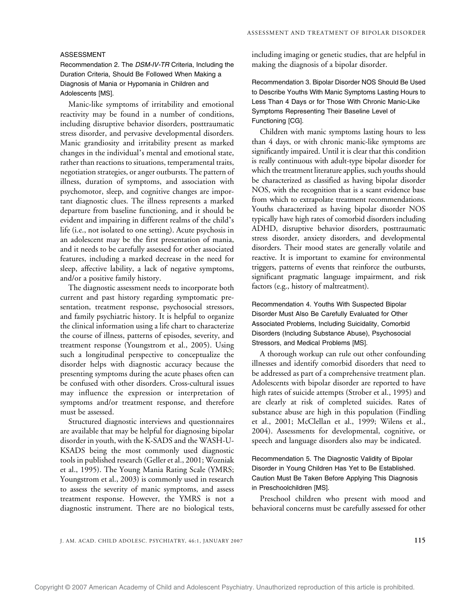# ASSESSMENT

Recommendation 2. The DSM-IV-TR Criteria, Including the Duration Criteria, Should Be Followed When Making a Diagnosis of Mania or Hypomania in Children and Adolescents [MS].

Manic-like symptoms of irritability and emotional reactivity may be found in a number of conditions, including disruptive behavior disorders, posttraumatic stress disorder, and pervasive developmental disorders. Manic grandiosity and irritability present as marked changes in the individual`s mental and emotional state, rather than reactions to situations, temperamental traits, negotiation strategies, or anger outbursts. The pattern of illness, duration of symptoms, and association with psychomotor, sleep, and cognitive changes are important diagnostic clues. The illness represents a marked departure from baseline functioning, and it should be evident and impairing in different realms of the child`s life (i.e., not isolated to one setting). Acute psychosis in an adolescent may be the first presentation of mania, and it needs to be carefully assessed for other associated features, including a marked decrease in the need for sleep, affective lability, a lack of negative symptoms, and/or a positive family history.

The diagnostic assessment needs to incorporate both current and past history regarding symptomatic presentation, treatment response, psychosocial stressors, and family psychiatric history. It is helpful to organize the clinical information using a life chart to characterize the course of illness, patterns of episodes, severity, and treatment response (Youngstrom et al., 2005). Using such a longitudinal perspective to conceptualize the disorder helps with diagnostic accuracy because the presenting symptoms during the acute phases often can be confused with other disorders. Cross-cultural issues may influence the expression or interpretation of symptoms and/or treatment response, and therefore must be assessed.

Structured diagnostic interviews and questionnaires are available that may be helpful for diagnosing bipolar disorder in youth, with the K-SADS and the WASH-U-KSADS being the most commonly used diagnostic tools in published research (Geller et al., 2001; Wozniak et al., 1995). The Young Mania Rating Scale (YMRS; Youngstrom et al., 2003) is commonly used in research to assess the severity of manic symptoms, and assess treatment response. However, the YMRS is not a diagnostic instrument. There are no biological tests, including imaging or genetic studies, that are helpful in making the diagnosis of a bipolar disorder.

Recommendation 3. Bipolar Disorder NOS Should Be Used to Describe Youths With Manic Symptoms Lasting Hours to Less Than 4 Days or for Those With Chronic Manic-Like Symptoms Representing Their Baseline Level of Functioning [CG].

Children with manic symptoms lasting hours to less than 4 days, or with chronic manic-like symptoms are significantly impaired. Until it is clear that this condition is really continuous with adult-type bipolar disorder for which the treatment literature applies, such youths should be characterized as classified as having bipolar disorder NOS, with the recognition that is a scant evidence base from which to extrapolate treatment recommendations. Youths characterized as having bipolar disorder NOS typically have high rates of comorbid disorders including ADHD, disruptive behavior disorders, posttraumatic stress disorder, anxiety disorders, and developmental disorders. Their mood states are generally volatile and reactive. It is important to examine for environmental triggers, patterns of events that reinforce the outbursts, significant pragmatic language impairment, and risk factors (e.g., history of maltreatment).

Recommendation 4. Youths With Suspected Bipolar Disorder Must Also Be Carefully Evaluated for Other Associated Problems, Including Suicidality, Comorbid Disorders (Including Substance Abuse), Psychosocial Stressors, and Medical Problems [MS].

A thorough workup can rule out other confounding illnesses and identify comorbid disorders that need to be addressed as part of a comprehensive treatment plan. Adolescents with bipolar disorder are reported to have high rates of suicide attempts (Strober et al., 1995) and are clearly at risk of completed suicides. Rates of substance abuse are high in this population (Findling et al., 2001; McClellan et al., 1999; Wilens et al., 2004). Assessments for developmental, cognitive, or speech and language disorders also may be indicated.

Recommendation 5. The Diagnostic Validity of Bipolar Disorder in Young Children Has Yet to Be Established. Caution Must Be Taken Before Applying This Diagnosis in Preschoolchildren [MS].

Preschool children who present with mood and behavioral concerns must be carefully assessed for other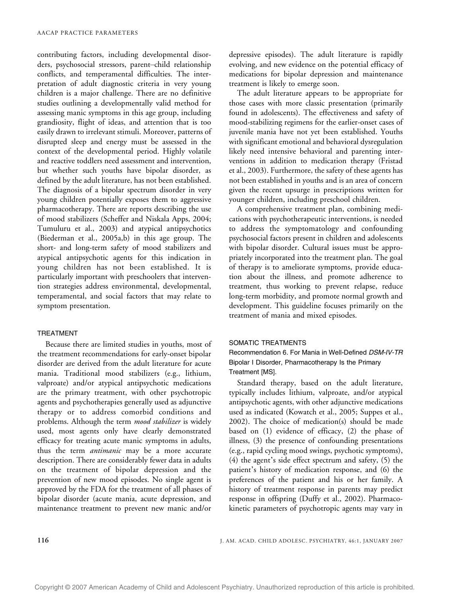contributing factors, including developmental disorders, psychosocial stressors, parent-child relationship conflicts, and temperamental difficulties. The interpretation of adult diagnostic criteria in very young children is a major challenge. There are no definitive studies outlining a developmentally valid method for assessing manic symptoms in this age group, including grandiosity, flight of ideas, and attention that is too easily drawn to irrelevant stimuli. Moreover, patterns of disrupted sleep and energy must be assessed in the context of the developmental period. Highly volatile and reactive toddlers need assessment and intervention, but whether such youths have bipolar disorder, as defined by the adult literature, has not been established. The diagnosis of a bipolar spectrum disorder in very young children potentially exposes them to aggressive pharmacotherapy. There are reports describing the use of mood stabilizers (Scheffer and Niskala Apps, 2004; Tumuluru et al., 2003) and atypical antipsychotics (Biederman et al., 2005a,b) in this age group. The short- and long-term safety of mood stabilizers and atypical antipsychotic agents for this indication in young children has not been established. It is particularly important with preschoolers that intervention strategies address environmental, developmental, temperamental, and social factors that may relate to symptom presentation.

#### TREATMENT

Because there are limited studies in youths, most of the treatment recommendations for early-onset bipolar disorder are derived from the adult literature for acute mania. Traditional mood stabilizers (e.g., lithium, valproate) and/or atypical antipsychotic medications are the primary treatment, with other psychotropic agents and psychotherapies generally used as adjunctive therapy or to address comorbid conditions and problems. Although the term *mood stabilizer* is widely used, most agents only have clearly demonstrated efficacy for treating acute manic symptoms in adults, thus the term *antimanic* may be a more accurate description. There are considerably fewer data in adults on the treatment of bipolar depression and the prevention of new mood episodes. No single agent is approved by the FDA for the treatment of all phases of bipolar disorder (acute mania, acute depression, and maintenance treatment to prevent new manic and/or

depressive episodes). The adult literature is rapidly evolving, and new evidence on the potential efficacy of medications for bipolar depression and maintenance treatment is likely to emerge soon.

The adult literature appears to be appropriate for those cases with more classic presentation (primarily found in adolescents). The effectiveness and safety of mood-stabilizing regimens for the earlier-onset cases of juvenile mania have not yet been established. Youths with significant emotional and behavioral dysregulation likely need intensive behavioral and parenting interventions in addition to medication therapy (Fristad et al., 2003). Furthermore, the safety of these agents has not been established in youths and is an area of concern given the recent upsurge in prescriptions written for younger children, including preschool children.

A comprehensive treatment plan, combining medications with psychotherapeutic interventions, is needed to address the symptomatology and confounding psychosocial factors present in children and adolescents with bipolar disorder. Cultural issues must be appropriately incorporated into the treatment plan. The goal of therapy is to ameliorate symptoms, provide education about the illness, and promote adherence to treatment, thus working to prevent relapse, reduce long-term morbidity, and promote normal growth and development. This guideline focuses primarily on the treatment of mania and mixed episodes.

#### SOMATIC TREATMENTS

Recommendation 6. For Mania in Well-Defined DSM-IV-TR Bipolar I Disorder, Pharmacotherapy Is the Primary Treatment [MS].

Standard therapy, based on the adult literature, typically includes lithium, valproate, and/or atypical antipsychotic agents, with other adjunctive medications used as indicated (Kowatch et al., 2005; Suppes et al., 2002). The choice of medication(s) should be made based on (1) evidence of efficacy, (2) the phase of illness, (3) the presence of confounding presentations (e.g., rapid cycling mood swings, psychotic symptoms), (4) the agent`s side effect spectrum and safety, (5) the patient's history of medication response, and (6) the preferences of the patient and his or her family. A history of treatment response in parents may predict response in offspring (Duffy et al., 2002). Pharmacokinetic parameters of psychotropic agents may vary in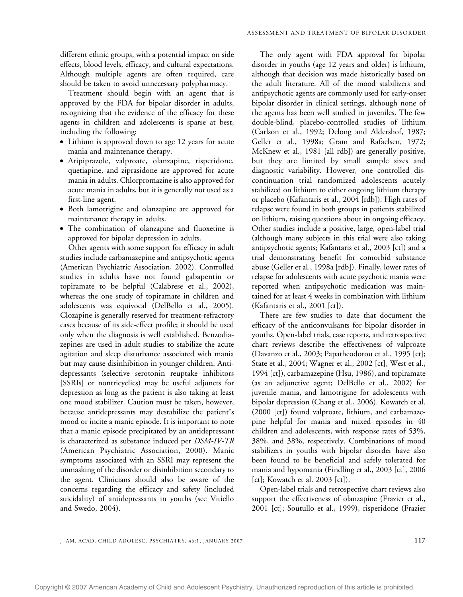different ethnic groups, with a potential impact on side effects, blood levels, efficacy, and cultural expectations. Although multiple agents are often required, care should be taken to avoid unnecessary polypharmacy.

Treatment should begin with an agent that is approved by the FDA for bipolar disorder in adults, recognizing that the evidence of the efficacy for these agents in children and adolescents is sparse at best, including the following:

- Lithium is approved down to age 12 years for acute mania and maintenance therapy.
- Aripiprazole, valproate, olanzapine, risperidone, quetiapine, and ziprasidone are approved for acute mania in adults. Chlorpromazine is also approved for acute mania in adults, but it is generally not used as a first-line agent.
- Both lamotrigine and olanzapine are approved for maintenance therapy in adults.
- The combination of olanzapine and fluoxetine is approved for bipolar depression in adults.

Other agents with some support for efficacy in adult studies include carbamazepine and antipsychotic agents (American Psychiatric Association, 2002). Controlled studies in adults have not found gabapentin or topiramate to be helpful (Calabrese et al., 2002), whereas the one study of topiramate in children and adolescents was equivocal (DelBello et al., 2005). Clozapine is generally reserved for treatment-refractory cases because of its side-effect profile; it should be used only when the diagnosis is well established. Benzodiazepines are used in adult studies to stabilize the acute agitation and sleep disturbance associated with mania but may cause disinhibition in younger children. Antidepressants (selective serotonin reuptake inhibitors [SSRIs] or nontricyclics) may be useful adjuncts for depression as long as the patient is also taking at least one mood stabilizer. Caution must be taken, however, because antidepressants may destabilize the patient`s mood or incite a manic episode. It is important to note that a manic episode precipitated by an antidepressant is characterized as substance induced per DSM-IV-TR (American Psychiatric Association, 2000). Manic symptoms associated with an SSRI may represent the unmasking of the disorder or disinhibition secondary to the agent. Clinicians should also be aware of the concerns regarding the efficacy and safety (included suicidality) of antidepressants in youths (see Vitiello and Swedo, 2004).

The only agent with FDA approval for bipolar disorder in youths (age 12 years and older) is lithium, although that decision was made historically based on the adult literature. All of the mood stabilizers and antipsychotic agents are commonly used for early-onset bipolar disorder in clinical settings, although none of the agents has been well studied in juveniles. The few double-blind, placebo-controlled studies of lithium (Carlson et al., 1992; Delong and Aldershof, 1987; Geller et al., 1998a; Gram and Rafaelsen, 1972; McKnew et al., 1981 [all rdb]) are generally positive, but they are limited by small sample sizes and diagnostic variability. However, one controlled discontinuation trial randomized adolescents acutely stabilized on lithium to either ongoing lithium therapy or placebo (Kafantaris et al., 2004 [rdb]). High rates of relapse were found in both groups in patients stabilized on lithium, raising questions about its ongoing efficacy. Other studies include a positive, large, open-label trial (although many subjects in this trial were also taking antipsychotic agents; Kafantaris et al., 2003 [ct]) and a trial demonstrating benefit for comorbid substance abuse (Geller et al., 1998a [rdb]). Finally, lower rates of relapse for adolescents with acute psychotic mania were reported when antipsychotic medication was maintained for at least 4 weeks in combination with lithium (Kafantaris et al., 2001 [ct]).

There are few studies to date that document the efficacy of the anticonvulsants for bipolar disorder in youths. Open-label trials, case reports, and retrospective chart reviews describe the effectiveness of valproate (Davanzo et al., 2003; Papatheodorou et al., 1995 [ct]; State et al., 2004; Wagner et al., 2002 [ct], West et al., 1994 [ct]), carbamazepine (Hsu, 1986), and topiramate (as an adjunctive agent; DelBello et al., 2002) for juvenile mania, and lamotrigine for adolescents with bipolar depression (Chang et al., 2006). Kowatch et al. (2000 [ct]) found valproate, lithium, and carbamazepine helpful for mania and mixed episodes in 40 children and adolescents, with response rates of 53%, 38%, and 38%, respectively. Combinations of mood stabilizers in youths with bipolar disorder have also been found to be beneficial and safely tolerated for mania and hypomania (Findling et al., 2003 [ct], 2006 [ct]; Kowatch et al. 2003 [ct]).

Open-label trials and retrospective chart reviews also support the effectiveness of olanzapine (Frazier et al., 2001 [ct]; Soutullo et al., 1999), risperidone (Frazier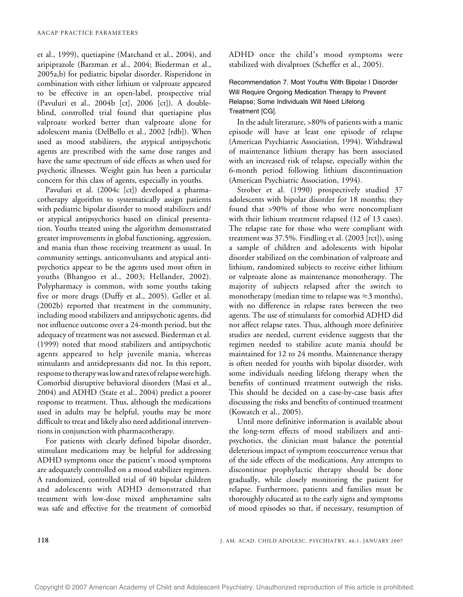et al., 1999), quetiapine (Marchand et al., 2004), and aripiprazole (Barzman et al., 2004; Biederman et al., 2005a,b) for pediatric bipolar disorder. Risperidone in combination with either lithium or valproate appeared to be effective in an open-label, prospective trial (Pavuluri et al., 2004b [ct], 2006 [ct]). A doubleblind, controlled trial found that quetiapine plus valproate worked better than valproate alone for adolescent mania (DelBello et al., 2002 [rdb]). When used as mood stabilizers, the atypical antipsychotic agents are prescribed with the same dose ranges and have the same spectrum of side effects as when used for psychotic illnesses. Weight gain has been a particular concern for this class of agents, especially in youths.

Pavuluri et al. (2004c [ct]) developed a pharmacotherapy algorithm to systematically assign patients with pediatric bipolar disorder to mood stabilizers and/ or atypical antipsychotics based on clinical presentation. Youths treated using the algorithm demonstrated greater improvements in global functioning, aggression, and mania than those receiving treatment as usual. In community settings, anticonvulsants and atypical antipsychotics appear to be the agents used most often in youths (Bhangoo et al., 2003; Hellander, 2002). Polypharmacy is common, with some youths taking five or more drugs (Duffy et al., 2005). Geller et al. (2002b) reported that treatment in the community, including mood stabilizers and antipsychotic agents, did not influence outcome over a 24-month period, but the adequacy of treatment was not assessed. Biederman et al. (1999) noted that mood stabilizers and antipsychotic agents appeared to help juvenile mania, whereas stimulants and antidepressants did not. In this report, response to therapy was low and rates of relapse were high. Comorbid disruptive behavioral disorders (Masi et al., 2004) and ADHD (State et al., 2004) predict a poorer response to treatment. Thus, although the medications used in adults may be helpful, youths may be more difficult to treat and likely also need additional interventions in conjunction with pharmacotherapy.

For patients with clearly defined bipolar disorder, stimulant medications may be helpful for addressing ADHD symptoms once the patient`s mood symptoms are adequately controlled on a mood stabilizer regimen. A randomized, controlled trial of 40 bipolar children and adolescents with ADHD demonstrated that treatment with low-dose mixed amphetamine salts was safe and effective for the treatment of comorbid

ADHD once the child`s mood symptoms were stabilized with divalproex (Scheffer et al., 2005).

Recommendation 7. Most Youths With Bipolar I Disorder Will Require Ongoing Medication Therapy to Prevent Relapse; Some Individuals Will Need Lifelong Treatment [CG].

In the adult literature, >80% of patients with a manic episode will have at least one episode of relapse (American Psychiatric Association, 1994). Withdrawal of maintenance lithium therapy has been associated with an increased risk of relapse, especially within the 6-month period following lithium discontinuation (American Psychiatric Association, 1994).

Strober et al. (1990) prospectively studied 37 adolescents with bipolar disorder for 18 months; they found that >90% of those who were noncompliant with their lithium treatment relapsed (12 of 13 cases). The relapse rate for those who were compliant with treatment was 37.5%. Findling et al. (2003 [rct]), using a sample of children and adolescents with bipolar disorder stabilized on the combination of valproate and lithium, randomized subjects to receive either lithium or valproate alone as maintenance monotherapy. The majority of subjects relapsed after the switch to monotherapy (median time to relapse was  $\approx$  3 months), with no difference in relapse rates between the two agents. The use of stimulants for comorbid ADHD did not affect relapse rates. Thus, although more definitive studies are needed, current evidence suggests that the regimen needed to stabilize acute mania should be maintained for 12 to 24 months. Maintenance therapy is often needed for youths with bipolar disorder, with some individuals needing lifelong therapy when the benefits of continued treatment outweigh the risks. This should be decided on a case-by-case basis after discussing the risks and benefits of continued treatment (Kowatch et al., 2005).

Until more definitive information is available about the long-term effects of mood stabilizers and antipsychotics, the clinician must balance the potential deleterious impact of symptom reoccurrence versus that of the side effects of the medications. Any attempts to discontinue prophylactic therapy should be done gradually, while closely monitoring the patient for relapse. Furthermore, patients and families must be thoroughly educated as to the early signs and symptoms of mood episodes so that, if necessary, resumption of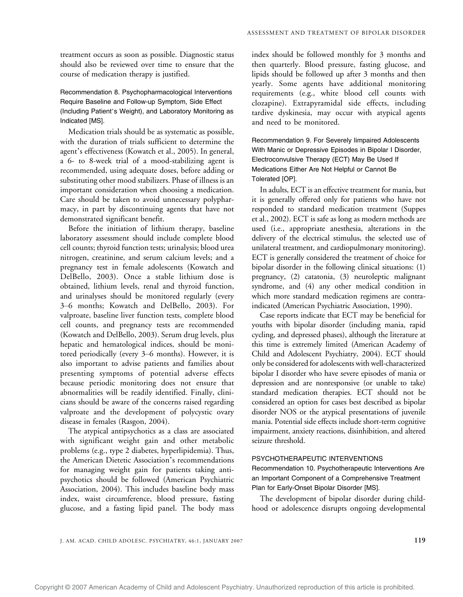treatment occurs as soon as possible. Diagnostic status should also be reviewed over time to ensure that the course of medication therapy is justified.

Recommendation 8. Psychopharmacological Interventions Require Baseline and Follow-up Symptom, Side Effect (Including Patient`s Weight), and Laboratory Monitoring as Indicated [MS].

Medication trials should be as systematic as possible, with the duration of trials sufficient to determine the agent`s effectiveness (Kowatch et al., 2005). In general, a 6- to 8-week trial of a mood-stabilizing agent is recommended, using adequate doses, before adding or substituting other mood stabilizers. Phase of illness is an important consideration when choosing a medication. Care should be taken to avoid unnecessary polypharmacy, in part by discontinuing agents that have not demonstrated significant benefit.

Before the initiation of lithium therapy, baseline laboratory assessment should include complete blood cell counts; thyroid function tests; urinalysis; blood urea nitrogen, creatinine, and serum calcium levels; and a pregnancy test in female adolescents (Kowatch and DelBello, 2003). Once a stable lithium dose is obtained, lithium levels, renal and thyroid function, and urinalyses should be monitored regularly (every 3-6 months; Kowatch and DelBello, 2003). For valproate, baseline liver function tests, complete blood cell counts, and pregnancy tests are recommended (Kowatch and DelBello, 2003). Serum drug levels, plus hepatic and hematological indices, should be monitored periodically (every  $3-6$  months). However, it is also important to advise patients and families about presenting symptoms of potential adverse effects because periodic monitoring does not ensure that abnormalities will be readily identified. Finally, clinicians should be aware of the concerns raised regarding valproate and the development of polycystic ovary disease in females (Rasgon, 2004).

The atypical antipsychotics as a class are associated with significant weight gain and other metabolic problems (e.g., type 2 diabetes, hyperlipidemia). Thus, the American Dietetic Association`s recommendations for managing weight gain for patients taking antipsychotics should be followed (American Psychiatric Association, 2004). This includes baseline body mass index, waist circumference, blood pressure, fasting glucose, and a fasting lipid panel. The body mass index should be followed monthly for 3 months and then quarterly. Blood pressure, fasting glucose, and lipids should be followed up after 3 months and then yearly. Some agents have additional monitoring requirements (e.g., white blood cell counts with clozapine). Extrapyramidal side effects, including tardive dyskinesia, may occur with atypical agents and need to be monitored.

Recommendation 9. For Severely Iimpaired Adolescents With Manic or Depressive Episodes in Bipolar I Disorder, Electroconvulsive Therapy (ECT) May Be Used If Medications Either Are Not Helpful or Cannot Be Tolerated [OP].

In adults, ECT is an effective treatment for mania, but it is generally offered only for patients who have not responded to standard medication treatment (Suppes et al., 2002). ECT is safe as long as modern methods are used (i.e., appropriate anesthesia, alterations in the delivery of the electrical stimulus, the selected use of unilateral treatment, and cardiopulmonary monitoring). ECT is generally considered the treatment of choice for bipolar disorder in the following clinical situations: (1) pregnancy, (2) catatonia, (3) neuroleptic malignant syndrome, and (4) any other medical condition in which more standard medication regimens are contraindicated (American Psychiatric Association, 1990).

Case reports indicate that ECT may be beneficial for youths with bipolar disorder (including mania, rapid cycling, and depressed phases), although the literature at this time is extremely limited (American Academy of Child and Adolescent Psychiatry, 2004). ECT should only be considered for adolescents with well-characterized bipolar I disorder who have severe episodes of mania or depression and are nonresponsive (or unable to take) standard medication therapies. ECT should not be considered an option for cases best described as bipolar disorder NOS or the atypical presentations of juvenile mania. Potential side effects include short-term cognitive impairment, anxiety reactions, disinhibition, and altered seizure threshold.

# PSYCHOTHERAPEUTIC INTERVENTIONS

Recommendation 10. Psychotherapeutic Interventions Are an Important Component of a Comprehensive Treatment Plan for Early-Onset Bipolar Disorder [MS].

The development of bipolar disorder during childhood or adolescence disrupts ongoing developmental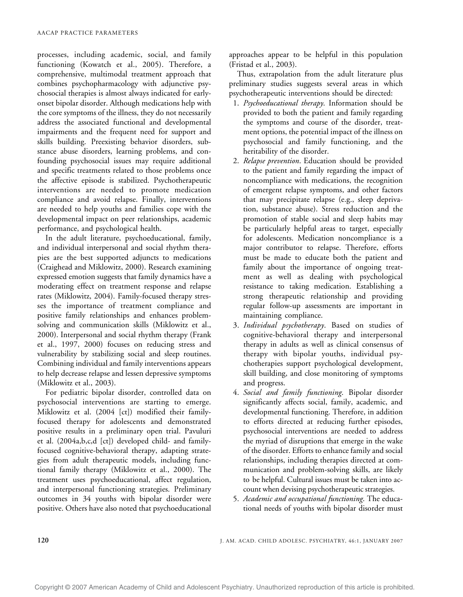processes, including academic, social, and family functioning (Kowatch et al., 2005). Therefore, a comprehensive, multimodal treatment approach that combines psychopharmacology with adjunctive psychosocial therapies is almost always indicated for earlyonset bipolar disorder. Although medications help with the core symptoms of the illness, they do not necessarily address the associated functional and developmental impairments and the frequent need for support and skills building. Preexisting behavior disorders, substance abuse disorders, learning problems, and confounding psychosocial issues may require additional and specific treatments related to those problems once the affective episode is stabilized. Psychotherapeutic interventions are needed to promote medication compliance and avoid relapse. Finally, interventions are needed to help youths and families cope with the developmental impact on peer relationships, academic performance, and psychological health.

In the adult literature, psychoeducational, family, and individual interpersonal and social rhythm therapies are the best supported adjuncts to medications (Craighead and Miklowitz, 2000). Research examining expressed emotion suggests that family dynamics have a moderating effect on treatment response and relapse rates (Miklowitz, 2004). Family-focused therapy stresses the importance of treatment compliance and positive family relationships and enhances problemsolving and communication skills (Miklowitz et al., 2000). Interpersonal and social rhythm therapy (Frank et al., 1997, 2000) focuses on reducing stress and vulnerability by stabilizing social and sleep routines. Combining individual and family interventions appears to help decrease relapse and lessen depressive symptoms (Miklowitz et al., 2003).

For pediatric bipolar disorder, controlled data on psychosocial interventions are starting to emerge. Miklowitz et al. (2004 [ct]) modified their familyfocused therapy for adolescents and demonstrated positive results in a preliminary open trial. Pavuluri et al. (2004a,b,c,d [ct]) developed child- and familyfocused cognitive-behavioral therapy, adapting strategies from adult therapeutic models, including functional family therapy (Miklowitz et al., 2000). The treatment uses psychoeducational, affect regulation, and interpersonal functioning strategies. Preliminary outcomes in 34 youths with bipolar disorder were positive. Others have also noted that psychoeducational

approaches appear to be helpful in this population (Fristad et al., 2003).

Thus, extrapolation from the adult literature plus preliminary studies suggests several areas in which psychotherapeutic interventions should be directed:

- 1. Psychoeducational therapy. Information should be provided to both the patient and family regarding the symptoms and course of the disorder, treatment options, the potential impact of the illness on psychosocial and family functioning, and the heritability of the disorder.
- 2. Relapse prevention. Education should be provided to the patient and family regarding the impact of noncompliance with medications, the recognition of emergent relapse symptoms, and other factors that may precipitate relapse (e.g., sleep deprivation, substance abuse). Stress reduction and the promotion of stable social and sleep habits may be particularly helpful areas to target, especially for adolescents. Medication noncompliance is a major contributor to relapse. Therefore, efforts must be made to educate both the patient and family about the importance of ongoing treatment as well as dealing with psychological resistance to taking medication. Establishing a strong therapeutic relationship and providing regular follow-up assessments are important in maintaining compliance.
- 3. Individual psychotherapy. Based on studies of cognitive-behavioral therapy and interpersonal therapy in adults as well as clinical consensus of therapy with bipolar youths, individual psychotherapies support psychological development, skill building, and close monitoring of symptoms and progress.
- 4. Social and family functioning. Bipolar disorder significantly affects social, family, academic, and developmental functioning. Therefore, in addition to efforts directed at reducing further episodes, psychosocial interventions are needed to address the myriad of disruptions that emerge in the wake of the disorder. Efforts to enhance family and social relationships, including therapies directed at communication and problem-solving skills, are likely to be helpful. Cultural issues must be taken into account when devising psychotherapeutic strategies.
- 5. Academic and occupational functioning. The educational needs of youths with bipolar disorder must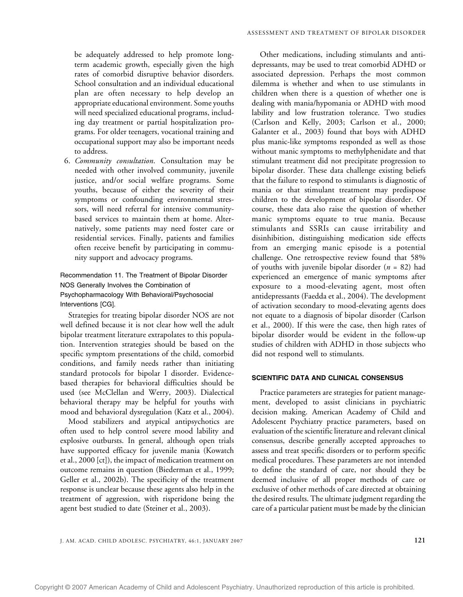be adequately addressed to help promote longterm academic growth, especially given the high rates of comorbid disruptive behavior disorders. School consultation and an individual educational plan are often necessary to help develop an appropriate educational environment. Some youths will need specialized educational programs, including day treatment or partial hospitalization programs. For older teenagers, vocational training and occupational support may also be important needs to address.

6. Community consultation. Consultation may be needed with other involved community, juvenile justice, and/or social welfare programs. Some youths, because of either the severity of their symptoms or confounding environmental stressors, will need referral for intensive communitybased services to maintain them at home. Alternatively, some patients may need foster care or residential services. Finally, patients and families often receive benefit by participating in community support and advocacy programs.

Recommendation 11. The Treatment of Bipolar Disorder NOS Generally Involves the Combination of Psychopharmacology With Behavioral/Psychosocial Interventions [CG].

Strategies for treating bipolar disorder NOS are not well defined because it is not clear how well the adult bipolar treatment literature extrapolates to this population. Intervention strategies should be based on the specific symptom presentations of the child, comorbid conditions, and family needs rather than initiating standard protocols for bipolar I disorder. Evidencebased therapies for behavioral difficulties should be used (see McClellan and Werry, 2003). Dialectical behavioral therapy may be helpful for youths with mood and behavioral dysregulation (Katz et al., 2004).

Mood stabilizers and atypical antipsychotics are often used to help control severe mood lability and explosive outbursts. In general, although open trials have supported efficacy for juvenile mania (Kowatch et al., 2000 [ct]), the impact of medication treatment on outcome remains in question (Biederman et al., 1999; Geller et al., 2002b). The specificity of the treatment response is unclear because these agents also help in the treatment of aggression, with risperidone being the agent best studied to date (Steiner et al., 2003).

Other medications, including stimulants and antidepressants, may be used to treat comorbid ADHD or associated depression. Perhaps the most common dilemma is whether and when to use stimulants in children when there is a question of whether one is dealing with mania/hypomania or ADHD with mood lability and low frustration tolerance. Two studies (Carlson and Kelly, 2003; Carlson et al., 2000; Galanter et al., 2003) found that boys with ADHD plus manic-like symptoms responded as well as those without manic symptoms to methylphenidate and that stimulant treatment did not precipitate progression to bipolar disorder. These data challenge existing beliefs that the failure to respond to stimulants is diagnostic of mania or that stimulant treatment may predispose children to the development of bipolar disorder. Of course, these data also raise the question of whether manic symptoms equate to true mania. Because stimulants and SSRIs can cause irritability and disinhibition, distinguishing medication side effects from an emerging manic episode is a potential challenge. One retrospective review found that 58% of youths with juvenile bipolar disorder ( $n = 82$ ) had experienced an emergence of manic symptoms after exposure to a mood-elevating agent, most often antidepressants (Faedda et al., 2004). The development of activation secondary to mood-elevating agents does not equate to a diagnosis of bipolar disorder (Carlson et al., 2000). If this were the case, then high rates of bipolar disorder would be evident in the follow-up studies of children with ADHD in those subjects who did not respond well to stimulants.

### SCIENTIFIC DATA AND CLINICAL CONSENSUS

Practice parameters are strategies for patient management, developed to assist clinicians in psychiatric decision making. American Academy of Child and Adolescent Psychiatry practice parameters, based on evaluation of the scientific literature and relevant clinical consensus, describe generally accepted approaches to assess and treat specific disorders or to perform specific medical procedures. These parameters are not intended to define the standard of care, nor should they be deemed inclusive of all proper methods of care or exclusive of other methods of care directed at obtaining the desired results. The ultimate judgment regarding the care of a particular patient must be made by the clinician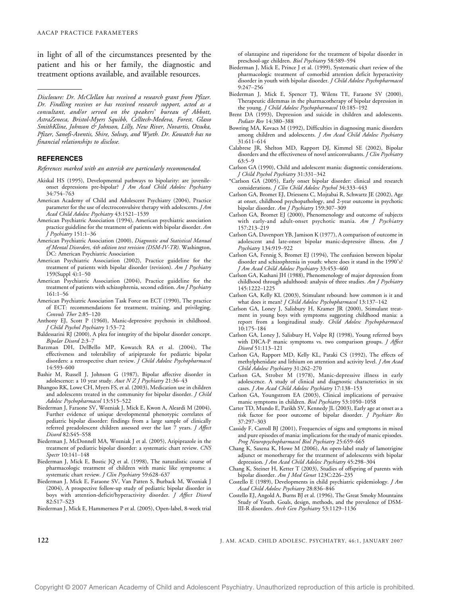in light of all of the circumstances presented by the patient and his or her family, the diagnostic and treatment options available, and available resources.

Disclosure: Dr. McClellan has received a research grant from Pfizer. Dr. Findling receives or has received research support, acted as a consultant, and/or served on the speakers` bureau of Abbott, AstraZeneca, Bristol-Myers Squibb, Celltech-Medeva, Forest, Glaxo SmithKline, Johnson & Johnson, Lilly, New River, Novartis, Otsuka, Pfizer, Sanofi-Aventis, Shire, Solvay, and Wyeth. Dr. Kowatch has no financial relationships to disclose.

### REFERENCES

References marked with an asterisk are particularly recommended.

- Akiskal HS (1995), Developmental pathways to bipolarity: are juvenileonset depressions pre-bipolar?  $\int A_m$  Acad Child Adolesc Psychiatry 34:754-763
- American Academy of Child and Adolescent Psychiatry (2004), Practice parameter for the use of electroconvulsive therapy with adolescents. *J Am* Acad Child Adolesc Psychiatry 43:1521-1539
- American Psychiatric Association (1994), American psychiatric association practice guideline for the treatment of patients with bipolar disorder. Am J Psychiatry 151:1-36
- American Psychiatric Association (2000), Diagnostic and Statistical Manual of Mental Disorders, 4th edition text revision (DSM-IV-TR). Washington, DC: American Psychiatric Association
- American Psychiatric Association (2002), Practice guideline for the treatment of patients with bipolar disorder (revision). Am J Psychiatry 159(Suppl 4):1-50
- American Psychiatric Association (2004), Practice guideline for the treatment of patients with schizophrenia, second edition. Am J Psychiatry  $161:1 - 56$
- American Psychiatric Association Task Force on ECT (1990), The practice of ECT: recommendations for treatment, training, and privileging. Convuls Ther 2:85-120
- Anthony EJ, Scott P (1960), Manic-depressive psychosis in childhood. J Child Psychol Psychiatry 1:53-72
- Baldessarini RJ (2000), A plea for integrity of the bipolar disorder concept. Bipolar Disord 2:3-7
- Barzman DH, DelBello MP, Kowatch RA et al. (2004), The effectiveness and tolerability of aripiprazole for pediatric bipolar disorders: a retrospective chart review. *J Child Adolesc Psychopharmacol* 14:593-600
- Bashir M, Russell J, Johnson G (1987), Bipolar affective disorder in adolescence: a 10 year study. Aust N Z J Psychiatry 21:36-43
- Bhangoo RK, Lowe CH, Myers FS, et al. (2003), Medication use in children and adolescents treated in the community for bipolar disorder. J Child Adolesc Psychopharmacol 13:515-522
- Biederman J, Faraone SV, Wozniak J, Mick E, Kwon A, Aleardi M (2004), Further evidence of unique developmental phenotypic correlates of pediatric bipolar disorder: findings from a large sample of clinically referred preadolescent children assessed over the last 7 years. J Affect Disord 82:S45–S58
- Biederman J, McDonnell MA, Wozniak J et al. (2005), Aripiprazole in the treatment of pediatric bipolar disorder: a systematic chart review. CNS Spectr 10:141-148
- Biederman J, Mick E, Bostic JQ et al. (1998), The naturalistic course of pharmacologic treatment of children with manic like symptoms: a systematic chart review. J Clin Psychiatry 59:628-637
- Biederman J, Mick E, Faraone SV, Van Patten S, Burback M, Wozniak J (2004), A prospective follow-up study of pediatric bipolar disorder in boys with attention-deficit/hyperactivity disorder. *J Affect Disord* 82:S17-S23
- Biederman J, Mick E, Hammerness P et al. (2005), Open-label, 8-week trial

of olanzapine and risperidone for the treatment of bipolar disorder in preschool-age children. Biol Psychiatry 58:589-594

- Biederman J, Mick E, Prince J et al. (1999), Systematic chart review of the pharmacologic treatment of comorbid attention deficit hyperactivity disorder in youth with bipolar disorder. J Child Adolesc Psychopharmacol 9:247-256
- Biederman J, Mick E, Spencer TJ, Wilens TE, Faraone SV (2000), Therapeutic dilemmas in the pharmacotherapy of bipolar depression in the young. J Child Adolesc Psychopharmacol 10:185-192
- Brent DA (1993), Depression and suicide in children and adolescents. Pediatr Rev 14:380-388
- Bowring MA, Kovacs M (1992), Difficulties in diagnosing manic disorders among children and adolescents. J Am Acad Child Adolesc Psychiatry 31:611-614
- Calabrese JR, Shelton MD, Rapport DJ, Kimmel SE (2002), Bipolar disorders and the effectiveness of novel anticonvulsants. J Clin Psychiatry  $63:5-9$
- Carlson GA (1990), Child and adolescent mania: diagnostic considerations. J Child Psychol Psychiatry 31:331-342
- \*Carlson GA (2005), Early onset bipolar disorder: clinical and research considerations. J Clin Child Adolesc Psychol 34:333-443
- Carlson GA, Bromet EJ, Driessens C, Mojtabai R, Schwartz JE (2002), Age at onset, childhood psychopathology, and 2-year outcome in psychotic bipolar disorder. Am J Psychiatry 159:307-309
- Carlson GA, Bromet EJ (2000), Phenomenology and outcome of subjects with early-and adult-onset psychotic mania. Am J Psychiatry 157:213-219
- Carlson GA, Davenport YB, Jamison K (1977), A comparison of outcome in adolescent and late-onset bipolar manic-depressive illness. Am J Psychiatry 134:919-922
- Carlson GA, Fennig S, Bromet EJ (1994), The confusion between bipolar disorder and schizophrenia in youth: where does it stand in the 1990`s? J Am Acad Child Adolesc Psychiatry 33:453-460
- Carlson GA, Kashani JH (1988), Phenomenology of major depression from childhood through adulthood: analysis of three studies. Am J Psychiatry 145:1222-1225
- Carlson GA, Kelly KL (2003), Stimulant rebound: how common is it and what does it mean? J Child Adolesc Psychopharmacol 13:137-142
- Carlson GA, Loney J, Salisbury H, Kramer JR (2000), Stimulant treatment in young boys with symptoms suggesting childhood mania: a report from a longitudinal study. Child Adolesc Psychopharmacol  $10:175-184$
- Carlson GA, Loney J, Salisbury H, Volpe RJ (1998), Young referred boys with DICA-P manic symptoms vs. two comparison groups. *J Affect* Disord 51:113-121
- Carlson GA, Rapport MD, Kelly KL, Pataki CS (1992), The effects of methylphenidate and lithium on attention and activity level. J Am Acad Child Adolesc Psychiatry 31:262-270
- Carlson GA, Strober M (1978), Manic-depressive illness in early adolescence. A study of clinical and diagnostic characteristics in six cases. J Am Acad Child Adolesc Psychiatry 17:138-153
- Carlson GA, Youngstrom EA (2003), Clinical implications of pervasive manic symptoms in children. Biol Psychiatry 53:1050-1058
- Carter TD, Mundo E, Parikh SV, Kennedy JL (2003), Early age at onset as a risk factor for poor outcome of bipolar disorder. J Psychiatr Res 37:297-303
- Cassidy F, Carroll BJ (2001), Frequencies of signs and symptoms in mixed and pure episodes of mania: implications for the study of manic episodes. Prog Neuropsychopharmacol Biol Psychiatry 25:659-665
- Chang K, Saxena K, Howe M (2006), An open-label study of lamotrigine adjunct or monotherapy for the treatment of adolescents with bipolar depression. J Am Acad Child Adolesc Psychiatry 45:298-304
- Chang K, Steiner H, Ketter T (2003), Studies of offspring of parents with bipolar disorder. Am J Med Genet 123C:226-235
- Costello E (1989), Developments in child psychiatric epidemiology. J Am Acad Child Adolesc Psychiatry 28:836-846
- Costello EJ, Angold A, Burns BJ et al. (1996), The Great Smoky Mountains Study of Youth. Goals, design, methods, and the prevalence of DSM-III-R disorders. Arch Gen Psychiatry 53:1129-1136

122 J. AM. ACAD. CHILD ADOLESC. PSYCHIATRY, 46:1, JANUARY 2007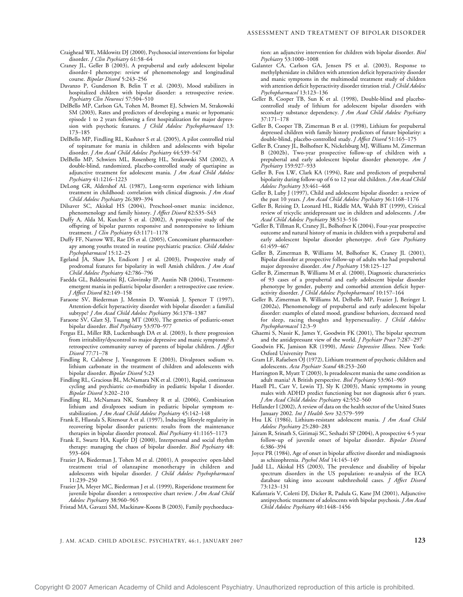- Craighead WE, Miklowitz DJ (2000), Psychosocial interventions for bipolar disorder. J Clin Psychiatry 61:58-64
- Craney JL, Geller B (2003), A prepubertal and early adolescent bipolar disorder-I phenotype: review of phenomenology and longitudinal course. Bipolar Disord 5:243-256
- Davanzo P, Gunderson B, Belin T et al. (2003), Mood stabilizers in hospitalized children with bipolar disorder: a retrospective review. Psychiatry Clin Neurosci 57:504-510
- DelBello MP, Carlson GA, Tohen M, Bromet EJ, Schwiers M, Strakowski SM (2003), Rates and predictors of developing a manic or hypomanic episode 1 to 2 years following a first hospitalization for major depression with psychotic features. J Child Adolesc Psychopharmacol 13: 173-185
- DelBello MP, Findling RL, Kushner S et al. (2005), A pilot controlled trial of topiramate for mania in children and adolescents with bipolar disorder. J Am Acad Child Adolesc Psychiatry 44:539-547
- DelBello MP, Schwiers ML, Rosenberg HL, Strakowski SM (2002), A double-blind, randomized, placebo-controlled study of quetiapine as adjunctive treatment for adolescent mania. J Am Acad Child Adolesc Psychiatry 41:1216-1223
- DeLong GR, Aldershof AL (1987), Long-term experience with lithium treatment in childhood: correlation with clinical diagnosis. J Am Acad Child Adolesc Psychiatry 26:389-394
- Dilsaver SC, Akiskal HS (2004), Preschool-onset mania: incidence, phenomenology and family history. J Affect Disord 82:S35-S43
- Duffy A, Alda M, Kutcher S et al. (2002), A prospective study of the offspring of bipolar parents responsive and nonresponsive to lithium treatment. J Clin Psychiatry 63:1171-1178
- Duffy FF, Narrow WE, Rae DS et al. (2005), Concomitant pharmacotherapy among youths treated in routine psychiatric practice. Child Adolesc Psychopharmacol 15:12-25
- Egeland JA, Shaw JA, Endicott J et al. (2003), Prospective study of prodromal features for bipolarity in well Amish children. J Am Acad Child Adolesc Psychiatry 42:786-796
- Faedda GL, Baldessarini RJ, Glovinsky IP, Austin NB (2004), Treatmentemergent mania in pediatric bipolar disorder: a retrospective case review. J Affect Disord 82:149-158
- Faraone SV, Biederman J, Mennin D, Wozniak J, Spencer T (1997), Attention-deficit hyperactivity disorder with bipolar disorder: a familial subtype? J Am Acad Child Adolesc Psychiatry 36:1378-1387
- Faraone SV, Glatt SJ, Tsuang MT (2003), The genetics of pediatric-onset bipolar disorder. Biol Psychiatry 53:970-977
- Fergus EL, Miller RB, Luckenbaugh DA et al. (2003), Is there progression from irritability/dyscontrol to major depressive and manic symptoms? A retrospective community survey of parents of bipolar children. J Affect Disord 77:71-78
- Findling R, Calabrese J, Youngstrom E (2003), Divalproex sodium vs. lithium carbonate in the treatment of children and adolescents with bipolar disorder. Bipolar Disord 5:23
- Findling RL, Gracious BL, McNamara NK et al. (2001), Rapid, continuous cycling and psychiatric co-morbidity in pediatric bipolar I disorder. Bipolar Disord 3:202-210
- Findling RL, McNamara NK, Stansbrey R et al. (2006), Combination lithium and divalproex sodium in pediatric bipolar symptom restabilization. J Am Acad Child Adolesc Psychiatry 45:142-148
- Frank E, Hlastala S, Ritenour A et al. (1997), Inducing lifestyle regularity in recovering bipolar disorder patients: results from the maintenance therapies in bipolar disorder protocol. Biol Psychiatry 41:1165-1173
- Frank E, Swartz HA, Kupfer DJ (2000), Interpersonal and social rhythm therapy: managing the chaos of bipolar disorder. Biol Psychiatry 48: 593-604
- Frazier JA, Biederman J, Tohen M et al. (2001), A prospective open-label treatment trial of olanzapine monotherapy in children and adolescents with bipolar disorder. J Child Adolesc Psychopharmacol 11:239-250
- Frazier JA, Meyer MC, Biederman J et al. (1999), Risperidone treatment for juvenile bipolar disorder: a retrospective chart review. *J Am Acad Child* Adolesc Psychiatry 38:960-965
- Fristad MA, Gavazzi SM, Mackinaw-Koons B (2003), Family psychoeduca-

tion: an adjunctive intervention for children with bipolar disorder. Biol Psychiatry 53:1000-1008

- Galanter CA, Carlson GA, Jensen PS et al. (2003), Response to methylphenidate in children with attention deficit hyperactivity disorder and manic symptoms in the multimodal treatment study of children with attention deficit hyperactivity disorder titration trial. *J Child Adolesc* Psychopharmacol 13:123-136
- Geller B, Cooper TB, Sun K et al. (1998), Double-blind and placebocontrolled study of lithium for adolescent bipolar disorders with secondary substance dependency. J Am Acad Child Adolesc Psychiatry 37:171-178
- Geller B, Cooper TB, Zimerman B et al. (1998), Lithium for prepubertal depressed children with family history predictors of future bipolarity: a double-blind, placebo-controlled study. J Affect Disord 51:165-175
- Geller B, Craney JL, Bolhofner K, Nickelsburg MJ, Williams M, Zimerman B (2002b), Two-year prospective follow-up of children with a prepubertal and early adolescent bipolar disorder phenotype. Am J Psychiatry 159:927-933
- Geller B, Fox LW, Clark KA (1994), Rate and predictors of prepubertal bipolarity during follow-up of 6 to 12 year old children. *J Am Acad Child* Adolesc Psychiatry 33:461–468
- Geller B, Luby J (1997), Child and adolescent bipolar disorder: a review of the past 10 years. J Am Acad Child Adolesc Psychiatry 36:1168-1176
- Geller B, Reising D, Leonard HL, Riddle MA, Walsh BT (1999), Critical review of tricyclic antidepressant use in children and adolescents. J Am Acad Child Adolesc Psychiatry 38:513-516
- \*Geller B, Tillman R, Craney JL, Bolhofner K (2004), Four-year prospective outcome and natural history of mania in children with a prepubertal and early adolescent bipolar disorder phenotype. Arch Gen Psychiatry 61:459-467
- Geller B, Zimerman B, Williams M, Bolhofner K, Craney JL (2001), Bipolar disorder at prospective follow-up of adults who had prepubertal major depressive disorder. Am J Psychiatry 158:125-127
- Geller B, Zimerman B, Williams M et al. (2000), Diagnostic characteristics of 93 cases of a prepubertal and early adolescent bipolar disorder phenotype by gender, puberty and comorbid attention deficit hyper-<br>activity disorder. *J Child Adolesc Psychopharmacol* 10:157–164
- Geller B, Zimerman B, Williams M, Delbello MP, Frazier J, Beringer L (2002a), Phenomenology of prepubertal and early adolescent bipolar disorder: examples of elated mood, grandiose behaviors, decreased need for sleep, racing thoughts and hypersexuality. J Child Adolesc Psychopharmacol 12:3-9
- Ghaemi S, Nassir K, James Y, Goodwin FK (2001), The bipolar spectrum and the antidepressant view of the world. *J Psychiatr Pract* 7:287-297
- Goodwin FK, Jamison KR (1990), Manic Depressive Illness. New York: Oxford University Press
- Gram LF, Rafaelsen OJ (1972), Lithium treatment of psychotic children and adolescents. Acta Psychiatr Scand 48:253-260
- Harrington R, Myatt T (2003), Is preadolescent mania the same condition as adult mania? A British perspective. Biol Psychiatry 53:961-969
- Hazell PL, Carr V, Lewin TJ, Sly K (2003), Manic symptoms in young males with ADHD predict functioning but not diagnosis after 6 years. J Am Acad Child Adolesc Psychiatry 42:552-560
- Hellander I (2002), A review of data on the health sector of the United States January 2002. Int J Health Serv 32:579-599
- Hsu LK (1986), Lithium-resistant adolescent mania. J Am Acad Child Adolesc Psychiatry 25:280–283
- Jairam R, Srinath S, Girimaji SC, Seshadri SP (2004), A prospective 4-5 year follow-up of juvenile onset of bipolar disorder. Bipolar Disord  $6:386 - 394$
- Joyce PR (1984), Age of onset in bipolar affective disorder and misdiagnosis as schizophrenia. Psychol Med  $14:145-149$
- Judd LL, Akiskal HS (2003), The prevalence and disability of bipolar spectrum disorders in the US population: re-analysis of the ECA database taking into account subthreshold cases. J Affect Disord 73:123-131
- Kafantaris V, Coletti DJ, Dicker R, Padula G, Kane JM (2001), Adjunctive antipsychotic treatment of adolescents with bipolar psychosis. J Am Acad Child Adolesc Psychiatry 40:1448-1456

J. AM. ACAD. CHILD ADOLESC. PSYCHIATRY,  $46:1$ , JANUARY 2007 123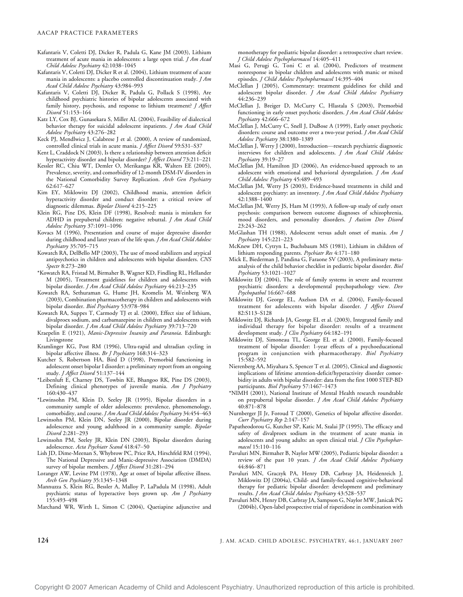#### AACAP PRACTICE PARAMETERS

- Kafantaris V, Coletti DJ, Dicker R, Padula G, Kane JM (2003), Lithium treatment of acute mania in adolescents: a large open trial. *J Am Acad* Child Adolesc Psychiatry 42:1038-1045
- Kafantaris V, Coletti DJ, Dicker R et al. (2004), Lithium treatment of acute mania in adolescents: a placebo controlled discontinuation study. *J Am* Acad Child Adolesc Psychiatry 43:984-993
- Kafantaris V, Coletti DJ, Dicker R, Padula G, Pollack S (1998), Are childhood psychiatric histories of bipolar adolescents associated with family history, psychosis, and response to lithium treatment? *J Affect* Disord 51:153-164
- Katz LY, Cox BJ, Gunasekara S, Miller AL (2004), Feasibility of dialectical behavior therapy for suicidal adolescent inpatients. J Am Acad Child Adolesc Psychiatry 43:276-282
- Keck PJ, Mendlwicz J, Calabrese J et al. (2000), A review of randomized, controlled clinical trials in acute mania. J Affect Disord 59:S31-S37
- Kent L, Craddock N (2003), Is there a relationship between attention deficit hyperactivity disorder and bipolar disorder? *J Affect Disord* 73:211-221
- Kessler RC, Chiu WT, Demler O, Merikangas KR, Walters EE (2005), Prevalence, severity, and comorbidity of 12-month DSM-IV disorders in the National Comorbidity Survey Replication. Arch Gen Psychiatry 62:617-627
- Kim EY, Miklowitz DJ (2002), Childhood mania, attention deficit hyperactivity disorder and conduct disorder: a critical review of diagnostic dilemmas. Bipolar Disord 4:215-225
- Klein RG, Pine DS, Klein DF (1998), Resolved: mania is mistaken for ADHD in prepubertal children: negative rebuttal. J Am Acad Child Adolesc Psychiatry 37:1091-1096
- Kovacs M (1996), Presentation and course of major depressive disorder during childhood and later years of the life span. J Am Acad Child Adolesc Psychiatry 35:705-715
- Kowatch RA, DelBello MP (2003), The use of mood stabilizers and atypical antipsychotics in children and adolescents with bipolar disorders. CNS Spectr 8:273-280
- \*Kowatch RA, Fristad M, Birmaher B, Wagner KD, Findling RL, Hellander M (2005), Treatment guidelines for children and adolescents with bipolar disorder. J Am Acad Child Adolesc Psychiatry 44:213-235
- Kowatch RA, Sethuraman G, Hume JH, Kromelis M, Weinberg WA (2003), Combination pharmacotherapy in children and adolescents with bipolar disorder. Biol Psychiatry 53:978-984
- Kowatch RA, Suppes T, Carmody TJ et al. (2000), Effect size of lithium, divalproex sodium, and carbamazepine in children and adolescents with bipolar disorder. J Am Acad Child Adolesc Psychiatry 39:713-720
- Kraepelin E (1921), Manic-Depressive Insanity and Paranoia. Edinburgh: Livingstone
- Kramlinger KG, Post RM (1996), Ultra-rapid and ultradian cycling in bipolar affective illness. Br J Psychiatry 168:314-323
- Kutcher S, Robertson HA, Bird D (1998), Premorbid functioning in adolescent onset bipolar I disorder: a preliminary report from an ongoing study. J Affect Disord 51:137-144
- \*Leibenluft E, Charney DS, Towbin KE, Bhangoo RK, Pine DS (2003), Defining clinical phenotypes of juvenile mania. Am J Psychiatry 160:430-437
- \*Lewinsohn PM, Klein D, Seeley JR (1995), Bipolar disorders in a community sample of older adolescents: prevalence, phenomenology, comorbidity, and course. J Am Acad Child Adolesc Psychiatry 34:454-463
- Lewinsohn PM, Klein DN, Seeley JR (2000), Bipolar disorder during adolescence and young adulthood in a community sample. *Bipolar* Disord 2:281-293
- Lewinsohn PM, Seeley JR, Klein DN (2003), Bipolar disorders during adolescence. Acta Psychiatr Scand 418:47-50
- Lish JD, Dime-Meenan S, Whybrow PC, Price RA, Hirschfeld RM (1994), The National Depressive and Manic-depressive Association (DMDA) survey of bipolar members. J Affect Disord 31:281-294
- Loranger AW, Levine PM (1978), Age at onset of bipolar affective illness. Arch Gen Psychiatry 35:1345-1348
- Mannuzza S, Klein RG, Bessler A, Malloy P, LaPadula M (1998), Adult psychiatric status of hyperactive boys grown up. Am J Psychiatry 155:493-498
- Marchand WR, Wirth L, Simon C (2004), Quetiapine adjunctive and

monotherapy for pediatric bipolar disorder: a retrospective chart review. J Child Adolesc Psychopharmacol 14:405-411

- Masi G, Perugi G, Toni C et al. (2004), Predictors of treatment nonresponse in bipolar children and adolescents with manic or mixed episodes. J Child Adolesc Psychopharmacol 14:395-404
- McClellan J (2005), Commentary: treatment guidelines for child and adolescent bipolar disorder. J Am Acad Child Adolesc Psychiatry 44:236-239
- McClellan J, Breiger D, McCurry C, Hlastala S (2003), Premorbid functioning in early onset psychotic disorders. J Am Acad Child Adolesc Psychiatry 42:666-672
- McClellan J, McCurry C, Snell J, DuBose A (1999), Early onset psychotic disorders: course and outcome over a two-year period. *J Am Acad Child* Adolesc Psychiatry 38:1380-1389
- McClellan J, Werry J (2000), Introduction-research psychiatric diagnostic interviews for children and adolescents. J Am Acad Child Adolesc Psychiatry 39:19-27
- McClellan JM, Hamilton JD (2006), An evidence-based approach to an adolescent with emotional and behavioral dysregulation. *J Am Acad* Child Adolesc Psychiatry 45:489-493
- McClellan JM, Werry JS (2003), Evidence-based treatments in child and adolescent psychiatry: an inventory. J Am Acad Child Adolesc Psychiatry  $42:1388-1400$
- McClellan JM, Werry JS, Ham M (1993), A follow-up study of early onset psychosis: comparison between outcome diagnoses of schizophrenia, mood disorders, and personality disorders. J Autism Dev Disord 23:243-262
- McGlashan TH (1988), Adolescent versus adult onset of mania. Am J Psychiatry 145:221-223
- McKnew DH, Cytryn L, Buchsbaum MS (1981), Lithium in children of lithium responding parents. Psychiatr Res 4:171-180
- Mick E, Biederman J, Pandina G, Faraone SV (2003), A preliminary metaanalysis of the child behavior checklist in pediatric bipolar disorder. Biol Psychiatry 53:1021-1027
- Miklowitz DJ (2004), The role of family systems in severe and recurrent psychiatric disorders: a developmental psychopathology view. *Dev*<br>*Psychopathol* 16:667–688
- Miklowitz DJ, George EL, Axelson DA et al. (2004), Family-focused treatment for adolescents with bipolar disorder. J Affect Disord 82:S113-S128
- Miklowitz DJ, Richards JA, George EL et al. (2003), Integrated family and individual therapy for bipolar disorder: results of a treatment development study. J Clin Psychiatry 64:182-191
- Miklowitz DJ, Simoneau TL, George EL et al. (2000), Family-focused treatment of bipolar disorder: 1-year effects of a psychoeducational program in conjunction with pharmacotherapy. Biol Psychiatry 15:582-592
- Nierenberg AA, Miyahara S, Spencer T et al. (2005), Clinical and diagnostic implications of lifetime attention-deficit/hyperactivity disorder comorbidity in adults with bipolar disorder: data from the first 1000 STEP-BD participants. Biol Psychiatry 57:1467-1473
- \*NIMH (2001), National Institute of Mental Health research roundtable on prepubertal bipolar disorder. J Am Acad Child Adolesc Psychiatry 40:871-878
- Nurnberger JI Jr, Foroud T (2000), Genetics of bipolar affective disorder. Curr Psychiatry Rep 2:147-157
- Papatheodorou G, Kutcher SP, Katic M, Szalai JP (1995), The efficacy and safety of divalproex sodium in the treatment of acute mania in adolescents and young adults: an open clinical trial. *J Clin Psychophar* $macol$  15:110-116
- Pavuluri MN, Birmaher B, Naylor MW (2005), Pediatric bipolar disorder: a review of the past 10 years. J Am Acad Child Adolesc Psychiatry 44:846-871
- Pavuluri MN, Graczyk PA, Henry DB, Carbray JA, Heidenreich J, Miklowitz DJ (2004a), Child- and family-focused cognitive-behavioral therapy for pediatric bipolar disorder: development and preliminary results. J Am Acad Child Adolesc Psychiatry 43:528-537
- Pavuluri MN, Henry DB, Carbray JA, Sampson G, Naylor MW, Janicak PG (2004b), Open-label prospective trial of risperidone in combination with

124 J. AM. ACAD. CHILD ADOLESC. PSYCHIATRY, 46:1, JANUARY 2007